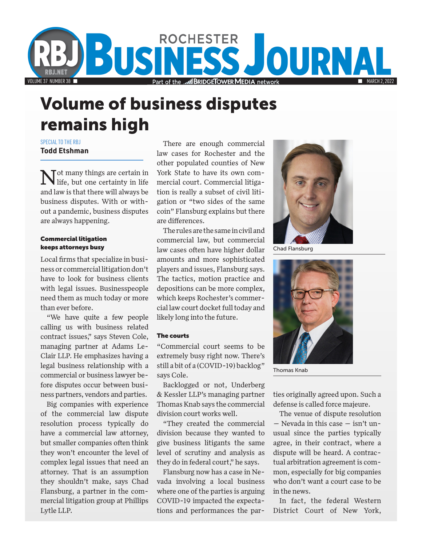

# Volume of business disputes remains high

SPECIAL TO THE RBJ **Todd Etshman**

 $\Gamma$  ot many things are certain in life, but one certainty in life and law is that there will always be business disputes. With or without a pandemic, business disputes are always happening.

## Commercial litigation keeps attorneys busy

Local firms that specialize in business or commercial litigation don't have to look for business clients with legal issues. Businesspeople need them as much today or more than ever before.

"We have quite a few people calling us with business related contract issues," says Steven Cole, managing partner at Adams Le-Clair LLP. He emphasizes having a legal business relationship with a commercial or business lawyer before disputes occur between business partners, vendors and parties.

Big companies with experience of the commercial law dispute resolution process typically do have a commercial law attorney, but smaller companies often think they won't encounter the level of complex legal issues that need an attorney. That is an assumption they shouldn't make, says Chad Flansburg, a partner in the commercial litigation group at Phillips Lytle LLP.

There are enough commercial law cases for Rochester and the other populated counties of New York State to have its own commercial court. Commercial litigation is really a subset of civil litigation or "two sides of the same coin" Flansburg explains but there are differences.

The rules are the same in civil and commercial law, but commercial law cases often have higher dollar amounts and more sophisticated players and issues, Flansburg says. The tactics, motion practice and depositions can be more complex, which keeps Rochester's commercial law court docket full today and likely long into the future.

### The courts

"Commercial court seems to be extremely busy right now. There's still a bit of a (COVID-19) backlog" says Cole.

Backlogged or not, Underberg & Kessler LLP's managing partner Thomas Knab says the commercial division court works well.

"They created the commercial division because they wanted to give business litigants the same level of scrutiny and analysis as they do in federal court," he says.

Flansburg now has a case in Nevada involving a local business where one of the parties is arguing COVID-19 impacted the expectations and performances the par-



Chad Flansburg



Thomas Knab

ties originally agreed upon. Such a defense is called force majeure.

The venue of dispute resolution — Nevada in this case — isn't unusual since the parties typically agree, in their contract, where a dispute will be heard. A contractual arbitration agreement is common, especially for big companies who don't want a court case to be in the news.

In fact, the federal Western District Court of New York,